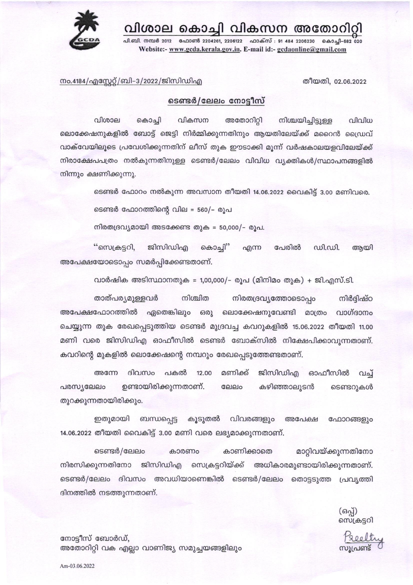വിശാല കൊചി വികസന അതോറിറി



ഫോൺ 2204261, 2206122 ഫാക്സ് : 91 484 2206230 പി.ബി. നമ്പർ 2012 Website:- www.gcda.kerala.gov.in. E-mail id:- gcdaonline@gmail.com

നം.4184/എസ്റ്റേറ്റ്/ബി-3/2022/ജിസിഡിഎ

തീയതി, 02.06.2022

## ടെണ്ടർ/ലേലം നോട്ടീസ്

അതോറിറ്റി വിശാല கெ0்வி വികസന നിശ്ചയിച്ചിട്ടുള്ള വിവിധ ലൊക്കേഷനുകളിൽ ബോട്ട് ജെട്ടി നിർമ്മിക്കുന്നതിനും ആയതിലേയ്ക്ക് മറൈൻ ഡ്രൈവ് വാക്വേയിലൂടെ പ്രവേശിക്കുന്നതിന് ലീസ് തുക ഈടാക്കി മുന്ന് വർഷകാലയളവിലേയ്ക്ക് നിരാക്ഷേപപത്രം നൽകുന്നതിനുള്ള ടെണ്ടർ/ലേലം വിവിധ വ്യക്തികൾ/സ്ഥാപനങ്ങളിൽ നിന്നും ക്ഷണിക്കുന്നു.

ടെണ്ടർ ഫോറം നൽകുന്ന അവസാന തീയതി 14.06.2022 വൈകിട്ട് 3.00 മണിവരെ.

ടെണ്ടർ ഫോറത്തിന്റെ വില = 560/– രൂപ

നിരതദ്രവ്യമായി അടക്കേണ്ട തുക = 50,000/- രൂപ.

"സെക്രട്ടറി, ജിസിഡിഎ കൊച്ചി" എന്ന പേരിൽ ഡി.ഡി. ആയി അപേക്ഷയോടൊപ്പം സമർപ്പിക്കേണ്ടതാണ്.

വാർഷിക അടിസ്ഥാനതുക = 1,00,000/- രൂപ (മിനിമം തുക) + ജി.എസ്.ടി.

നിശ്ചിത താത്പര്യമുള്ളവർ നിരതദ്രവ്യത്തോടൊപ്പം നിർദ്ദിഷ്ഠ അപേക്ഷഫോറത്തിൽ ഏതെങ്കിലും ഒരു ലൊക്കേഷനുവേണ്ടി മാത്രം വാഗ്ദാനം ചെയ്യുന്ന തുക രേഖപ്പെടുത്തിയ ടെണ്ടർ മുദ്രവച്ച കവറുകളിൽ 15.06.2022 തീയതി 11.00 മണി വരെ ജിസിഡിഎ ഓഫീസിൽ ടെണ്ടർ ബോക്സിൽ നിക്ഷേപിക്കാവുന്നതാണ്. കവറിന്റെ മുകളിൽ ലൊക്കേഷന്റെ നമ്പറും രേഖപ്പെടുത്തേണ്ടതാണ്.

മണിക്ക് അന്നേ ദിവസം പകൽ 12.00 ജിസിഡിഎ ഓഫീസിൽ വച് ഉണ്ടായിരിക്കുന്നതാണ്. കഴിഞ്ഞാലുടൻ പരസ്യലേലം ലേലം ടെണ്ടറുകൾ തുറക്കുന്നതായിരിക്കും.

ഇതുമായി ബന്ധപ്പെട്ട കൂടുതൽ വിവരങ്ങളും അപേക്ഷ ഫോറങ്ങളും 14.06.2022 തീയതി വൈകിട്ട് 3.00 മണി വരെ ലഭ്യമാക്കുന്നതാണ്.

ടെണ്ടർ/ലേലം കാണിക്കാതെ കാരണം മാറ്റിവയ്ക്കുന്നതിനോ നിരസിക്കുന്നതിനോ ജിസിഡിഎ സെക്രട്ടറിയ്ക്ക് അധികാരമുണ്ടായിരിക്കുന്നതാണ്. ടെണ്ടർ/ലേലം ദിവസം അവധിയാണെങ്കിൽ ടെണ്ടർ/ലേലം തൊട്ടടുത്ത പ്രവൃത്തി ദിനത്തിൽ നടത്തുന്നതാണ്.

(ഒപ്പ്) സെക്രട്ടറി

നോട്ടീസ് ബോർഡ്, അതോറിറ്റി വക എല്ലാ വാണിജ്യ സമുച്ചയങ്ങളിലും